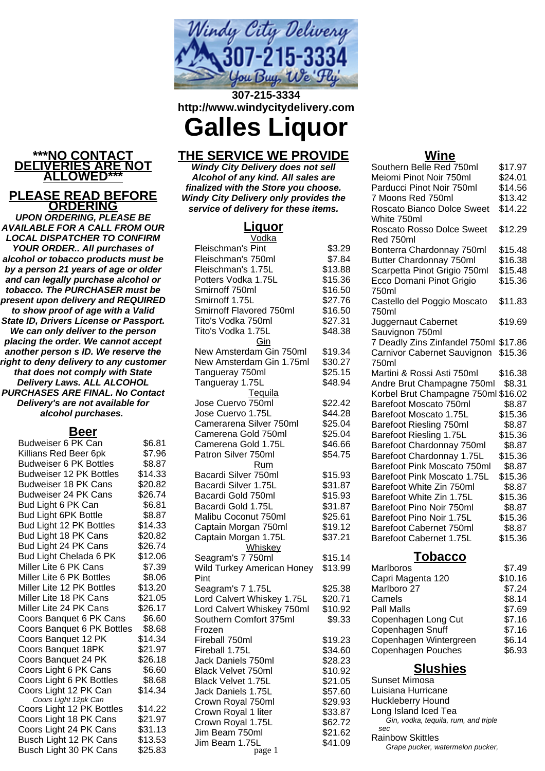

**307-215-3334 http://www.windycitydelivery.com**

**Galles Liquor**

## **THE SERVICE WE PROVIDE**

**Windy City Delivery does not sell Alcohol of any kind. All sales are finalized with the Store you choose. Windy City Delivery only provides the service of delivery for these items.**

### **Liquor**

| Vodka                      |         |
|----------------------------|---------|
| Fleischman's Pint          | \$3.29  |
| Fleischman's 750ml         | \$7.84  |
|                            |         |
| Fleischman's 1.75L         | \$13.88 |
| Potters Vodka 1.75L        | \$15.36 |
| Smirnoff 750ml             | \$16.50 |
| Smirnoff 1.75L             | \$27.76 |
| Smirnoff Flavored 750ml    | \$16.50 |
| Tito's Vodka 750ml         | \$27.31 |
| Tito's Vodka 1.75L         | \$48.38 |
| Gin                        |         |
| New Amsterdam Gin 750ml    | \$19.34 |
| New Amsterdam Gin 1.75ml   | \$30.27 |
| Tangueray 750ml            | \$25.15 |
| Tangueray 1.75L            | \$48.94 |
| Tequila                    |         |
|                            |         |
| Jose Cuervo 750ml          | \$22.42 |
| Jose Cuervo 1.75L          | \$44.28 |
| Camerarena Silver 750ml    | \$25.04 |
| Camerena Gold 750ml        | \$25.04 |
| Camerena Gold 1.75L        | \$46.66 |
| Patron Silver 750ml        | \$54.75 |
| <b>Rum</b>                 |         |
| Bacardi Silver 750ml       | \$15.93 |
| Bacardi Silver 1.75L       | \$31.87 |
| Bacardi Gold 750ml         | \$15.93 |
| Bacardi Gold 1.75L         | \$31.87 |
| Malibu Coconut 750ml       | \$25.61 |
| Captain Morgan 750ml       | \$19.12 |
| Captain Morgan 1.75L       | \$37.21 |
| Whiskey                    |         |
|                            |         |
| Seagram's 7 750ml          | \$15.14 |
| Wild Turkey American Honey | \$13.99 |
| Pint                       |         |
| Seagram's 7 1.75L          | \$25.38 |
| Lord Calvert Whiskey 1.75L | \$20.71 |
| Lord Calvert Whiskey 750ml | \$10.92 |
| Southern Comfort 375ml     | \$9.33  |
| Frozen                     |         |
| Fireball 750ml             | \$19.23 |
| Fireball 1.75L             | \$34.60 |
| Jack Daniels 750ml         | \$28.23 |
| Black Velvet 750ml         | \$10.92 |
| Black Velvet 1.75L         | \$21.05 |
| Jack Daniels 1.75L         | \$57.60 |
| Crown Royal 750ml          | \$29.93 |
| Crown Royal 1 liter        | \$33.87 |
| Crown Royal 1.75L          | \$62.72 |
| Jim Beam 750ml             | \$21.62 |
| Jim Beam 1.75L             |         |
| naoe 1                     | \$41.09 |

### **Wine**

| Southern Belle Red 750ml              | \$17.97 |        |
|---------------------------------------|---------|--------|
| Meiomi Pinot Noir 750ml               | \$24.01 |        |
| Parducci Pinot Noir 750ml             | \$14.56 |        |
| 7 Moons Red 750ml                     | \$13.42 |        |
| Roscato Bianco Dolce Sweet            | \$14.22 |        |
| White 750ml                           |         |        |
| Roscato Rosso Dolce Sweet             | \$12.29 |        |
| Red 750ml                             |         |        |
| Bonterra Chardonnay 750ml             | \$15.48 |        |
| Butter Chardonnay 750ml               | \$16.38 |        |
| Scarpetta Pinot Grigio 750ml          | \$15.48 |        |
| Ecco Domani Pinot Grigio              | \$15.36 |        |
| 750ml                                 |         |        |
| Castello del Poggio Moscato           | \$11.83 |        |
| 750ml                                 |         |        |
| Juggernaut Cabernet                   | \$19.69 |        |
| Sauvignon 750ml                       |         |        |
| 7 Deadly Zins Zinfandel 750ml \$17.86 |         |        |
| Carnivor Cabernet Sauvignon           | \$15.36 |        |
| 750ml                                 |         |        |
| Martini & Rossi Asti 750ml            | \$16.38 |        |
| Andre Brut Champagne 750ml            |         | \$8.31 |
| Korbel Brut Champagne 750ml \$16.02   |         |        |
| Barefoot Moscato 750ml                |         | \$8.87 |
| Barefoot Moscato 1.75L                | \$15.36 |        |
| Barefoot Riesling 750ml               |         | \$8.87 |
| Barefoot Riesling 1.75L               | \$15.36 |        |
| Barefoot Chardonnay 750ml             |         | \$8.87 |
| Barefoot Chardonnay 1.75L             | \$15.36 |        |
| Barefoot Pink Moscato 750ml           |         | \$8.87 |
| Barefoot Pink Moscato 1.75L           | \$15.36 |        |
| Barefoot White Zin 750ml              |         | \$8.87 |
| Barefoot White Zin 1.75L              | \$15.36 |        |
| Barefoot Pino Noir 750ml              |         | \$8.87 |
| Barefoot Pino Noir 1.75L              | \$15.36 |        |
| Barefoot Cabernet 750ml               |         | \$8.87 |
| Barefoot Cabernet 1.75L               | \$15.36 |        |
|                                       |         |        |

## **Tobacco**

| Marlboros              | \$7.49  |
|------------------------|---------|
| Capri Magenta 120      | \$10.16 |
| Marlboro 27            | \$7.24  |
| Camels                 | \$8.14  |
| Pall Malls             | \$7.69  |
| Copenhagen Long Cut    | \$7.16  |
| Copenhagen Snuff       | \$7.16  |
| Copenhagen Wintergreen | \$6.14  |
| Copenhagen Pouches     | \$6.93  |
|                        |         |

# **Slushies**

Sunset Mimosa Luisiana Hurricane Huckleberry Hound Long Island Iced Tea Gin, vodka, tequila, rum, and triple sec Rainbow Skittles Grape pucker, watermelon pucker,

## **\*\*\*NO CONTACT DELIVERIES ARE NOT ALLOWED\*\*\* PLEASE READ BEFORE**

**ORDERING UPON ORDERING, PLEASE BE AVAILABLE FOR A CALL FROM OUR LOCAL DISPATCHER TO CONFIRM YOUR ORDER.. All purchases of alcohol or tobacco products must be by a person 21 years of age or older and can legally purchase alcohol or tobacco. The PURCHASER must be present upon delivery and REQUIRED to show proof of age with a Valid State ID, Drivers License or Passport. We can only deliver to the person placing the order. We cannot accept another person s ID. We reserve the right to deny delivery to any customer that does not comply with State Delivery Laws. ALL ALCOHOL PURCHASES ARE FINAL. No Contact Delivery's are not available for alcohol purchases.**

### **Beer**

| ⊷∽                             |         |
|--------------------------------|---------|
| Budweiser 6 PK Can             | \$6.81  |
| Killians Red Beer 6pk          | \$7.96  |
| <b>Budweiser 6 PK Bottles</b>  | \$8.87  |
| <b>Budweiser 12 PK Bottles</b> | \$14.33 |
| <b>Budweiser 18 PK Cans</b>    | \$20.82 |
| Budweiser 24 PK Cans           | \$26.74 |
| Bud Light 6 PK Can             | \$6.81  |
| Bud Light 6PK Bottle           | \$8.87  |
| Bud Light 12 PK Bottles        | \$14.33 |
| Bud Light 18 PK Cans           | \$20.82 |
| Bud Light 24 PK Cans           | \$26.74 |
| Bud Light Chelada 6 PK         | \$12.06 |
| Miller Lite 6 PK Cans          | \$7.39  |
| Miller Lite 6 PK Bottles       | \$8.06  |
| Miller Lite 12 PK Bottles      | \$13.20 |
| Miller Lite 18 PK Cans         | \$21.05 |
| Miller Lite 24 PK Cans         | \$26.17 |
| Coors Banquet 6 PK Cans        | \$6.60  |
| Coors Banquet 6 PK Bottles     | \$8.68  |
| Coors Banquet 12 PK            | \$14.34 |
| Coors Banquet 18PK             | \$21.97 |
| Coors Banquet 24 PK            | \$26.18 |
| Coors Light 6 PK Cans          | \$6.60  |
| Coors Light 6 PK Bottles       | \$8.68  |
| Coors Light 12 PK Can          | \$14.34 |
| Coors Light 12pk Can           |         |
| Coors Light 12 PK Bottles      | \$14.22 |
| Coors Light 18 PK Cans         | \$21.97 |
| Coors Light 24 PK Cans         | \$31.13 |
| Busch Light 12 PK Cans         | \$13.53 |
| Busch Light 30 PK Cans         | \$25.83 |